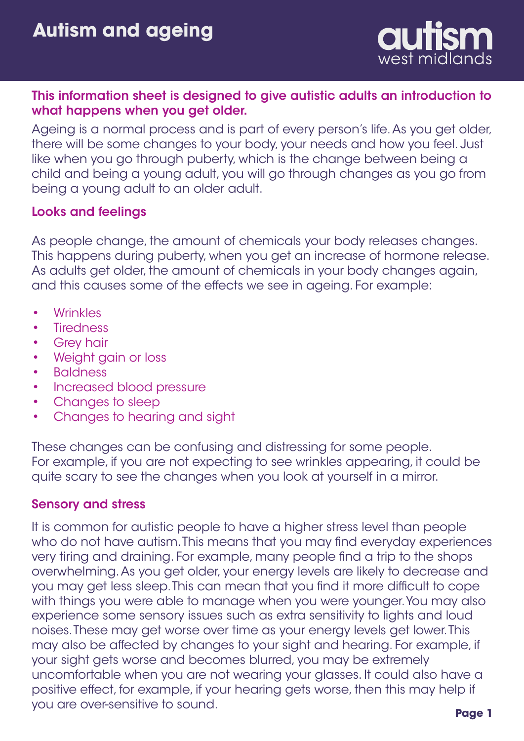

### This information sheet is designed to give autistic adults an introduction to what happens when you get older.

Ageing is a normal process and is part of every person's life. As you get older, there will be some changes to your body, your needs and how you feel. Just like when you go through puberty, which is the change between being a child and being a young adult, you will go through changes as you go from being a young adult to an older adult.

### Looks and feelings

As people change, the amount of chemicals your body releases changes. This happens during puberty, when you get an increase of hormone release. As adults get older, the amount of chemicals in your body changes again, and this causes some of the effects we see in ageing. For example:

- **Wrinkles** •
- **Tiredness** •
- Grey hair •
- Weight gain or loss •
- Baldness •
- Increased blood pressure •
- Changes to sleep •
- Changes to hearing and sight •

These changes can be confusing and distressing for some people. For example, if you are not expecting to see wrinkles appearing, it could be quite scary to see the changes when you look at yourself in a mirror.

#### Sensory and stress

It is common for autistic people to have a higher stress level than people who do not have autism. This means that you may find everyday experiences very tiring and draining. For example, many people find a trip to the shops overwhelming. As you get older, your energy levels are likely to decrease and you may get less sleep. This can mean that you find it more difficult to cope with things you were able to manage when you were younger. You may also experience some sensory issues such as extra sensitivity to lights and loud noises. These may get worse over time as your energy levels get lower. This may also be affected by changes to your sight and hearing. For example, if your sight gets worse and becomes blurred, you may be extremely uncomfortable when you are not wearing your glasses. It could also have a positive effect, for example, if your hearing gets worse, then this may help if you are over-sensitive to sound.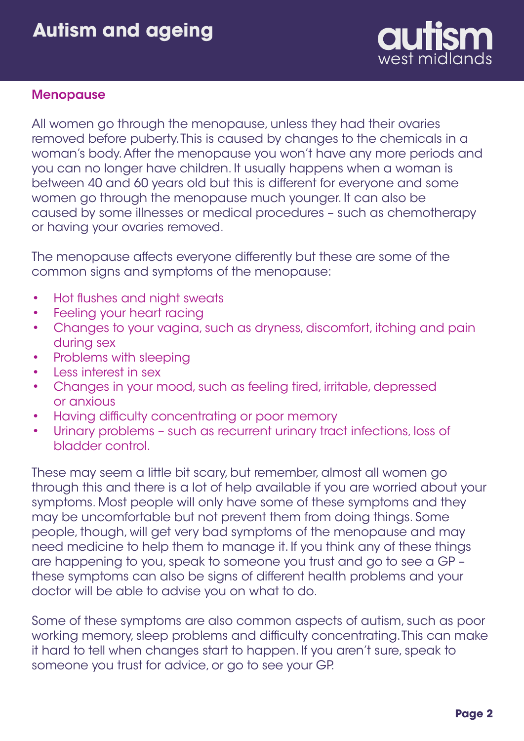# **Autism and ageing**



#### Menopause

All women go through the menopause, unless they had their ovaries removed before puberty. This is caused by changes to the chemicals in a woman's body. After the menopause you won't have any more periods and you can no longer have children. It usually happens when a woman is between 40 and 60 years old but this is different for everyone and some women go through the menopause much younger. It can also be caused by some illnesses or medical procedures – such as chemotherapy or having your ovaries removed.

The menopause affects everyone differently but these are some of the common signs and symptoms of the menopause:

- Hot flushes and night sweats •
- Feeling your heart racing •
- Changes to your vagina, such as dryness, discomfort, itching and pain during sex •
- Problems with sleeping •
- Less interest in sex •
- Changes in your mood, such as feeling tired, irritable, depressed or anxious •
- Having difficulty concentrating or poor memory •
- Urinary problems such as recurrent urinary tract infections, loss of bladder control. •

These may seem a little bit scary, but remember, almost all women go through this and there is a lot of help available if you are worried about your symptoms. Most people will only have some of these symptoms and they may be uncomfortable but not prevent them from doing things. Some people, though, will get very bad symptoms of the menopause and may need medicine to help them to manage it. If you think any of these things are happening to you, speak to someone you trust and go to see a GP – these symptoms can also be signs of different health problems and your doctor will be able to advise you on what to do.

Some of these symptoms are also common aspects of autism, such as poor working memory, sleep problems and difficulty concentrating. This can make it hard to tell when changes start to happen. If you aren't sure, speak to someone you trust for advice, or go to see your GP.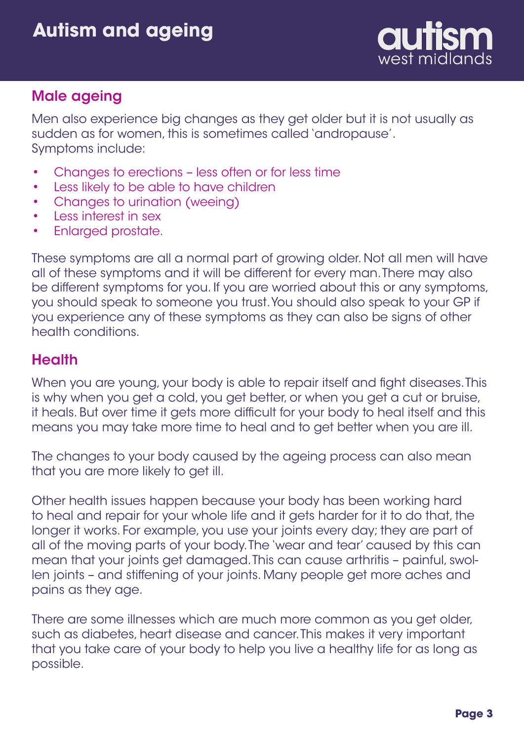

## Male ageing

Men also experience big changes as they get older but it is not usually as sudden as for women, this is sometimes called 'andropause'. Symptoms include:

- Changes to erections less often or for less time •
- Less likely to be able to have children •
- Changes to urination (weeing) •
- Less interest in sex •
- Enlarged prostate. •

These symptoms are all a normal part of growing older. Not all men will have all of these symptoms and it will be different for every man. There may also be different symptoms for you. If you are worried about this or any symptoms, you should speak to someone you trust. You should also speak to your GP if you experience any of these symptoms as they can also be signs of other health conditions.

## **Health**

When you are young, your body is able to repair itself and fight diseases. This is why when you get a cold, you get better, or when you get a cut or bruise, it heals. But over time it gets more difficult for your body to heal itself and this means you may take more time to heal and to get better when you are ill.

The changes to your body caused by the ageing process can also mean that you are more likely to get ill.

Other health issues happen because your body has been working hard to heal and repair for your whole life and it gets harder for it to do that, the longer it works. For example, you use your joints every day; they are part of all of the moving parts of your body. The 'wear and tear' caused by this can mean that your joints get damaged. This can cause arthritis – painful, swollen joints – and stiffening of your joints. Many people get more aches and pains as they age.

There are some illnesses which are much more common as you get older, such as diabetes, heart disease and cancer. This makes it very important that you take care of your body to help you live a healthy life for as long as possible.